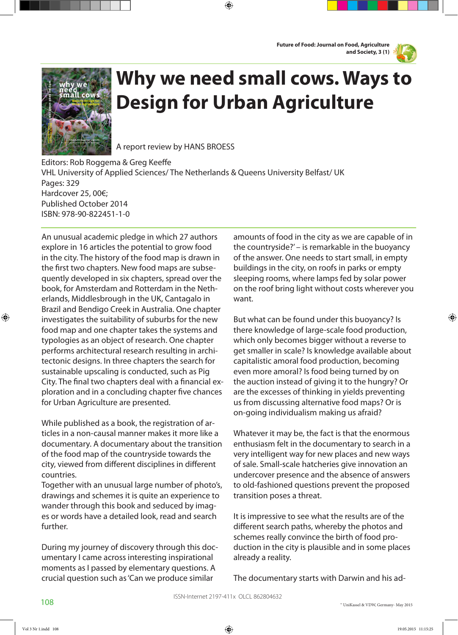**Future of Food: Journal on Food, Agriculture and Society, 3 (1)**



⊕



## **Why we need small cows. Ways to Design for Urban Agriculture**

⊕

A report review by HANS BROESS

Editors: Rob Roggema & Greg Keeffe VHL University of Applied Sciences/ The Netherlands & Queens University Belfast/ UK Pages: 329 Hardcover 25, 00€; Published October 2014 ISBN: 978-90-822451-1-0

An unusual academic pledge in which 27 authors explore in 16 articles the potential to grow food in the city. The history of the food map is drawn in the first two chapters. New food maps are subsequently developed in six chapters, spread over the book, for Amsterdam and Rotterdam in the Netherlands, Middlesbrough in the UK, Cantagalo in Brazil and Bendigo Creek in Australia. One chapter investigates the suitability of suburbs for the new food map and one chapter takes the systems and typologies as an object of research. One chapter performs architectural research resulting in architectonic designs. In three chapters the search for sustainable upscaling is conducted, such as Pig City. The final two chapters deal with a financial exploration and in a concluding chapter five chances for Urban Agriculture are presented.

While published as a book, the registration of articles in a non-causal manner makes it more like a documentary. A documentary about the transition of the food map of the countryside towards the city, viewed from different disciplines in different countries.

Together with an unusual large number of photo's, drawings and schemes it is quite an experience to wander through this book and seduced by images or words have a detailed look, read and search further.

During my journey of discovery through this documentary I came across interesting inspirational moments as I passed by elementary questions. A crucial question such as 'Can we produce similar

amounts of food in the city as we are capable of in the countryside?' – is remarkable in the buoyancy of the answer. One needs to start small, in empty buildings in the city, on roofs in parks or empty sleeping rooms, where lamps fed by solar power on the roof bring light without costs wherever you want.

But what can be found under this buoyancy? Is there knowledge of large-scale food production, which only becomes bigger without a reverse to get smaller in scale? Is knowledge available about capitalistic amoral food production, becoming even more amoral? Is food being turned by on the auction instead of giving it to the hungry? Or are the excesses of thinking in yields preventing us from discussing alternative food maps? Or is on-going individualism making us afraid?

Whatever it may be, the fact is that the enormous enthusiasm felt in the documentary to search in a very intelligent way for new places and new ways of sale. Small-scale hatcheries give innovation an undercover presence and the absence of answers to old-fashioned questions prevent the proposed transition poses a threat.

It is impressive to see what the results are of the different search paths, whereby the photos and schemes really convince the birth of food production in the city is plausible and in some places already a reality.

The documentary starts with Darwin and his ad-

⊕